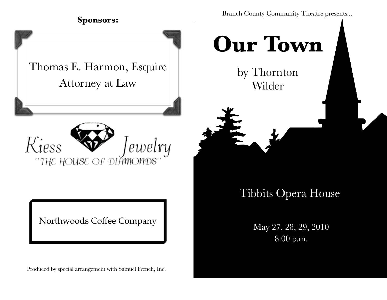Branch County Community Theatre presents...

### **Sponsors:**

Thomas E. Harmon, Esquire Attorney at Law



Northwoods Coffee Company

Produced by special arrangement with Samuel French, Inc.

# **Our Town**

by Thornton Wilder

# Tibbits Opera House

May 27, 28, 29, 2010 8:00 p.m.